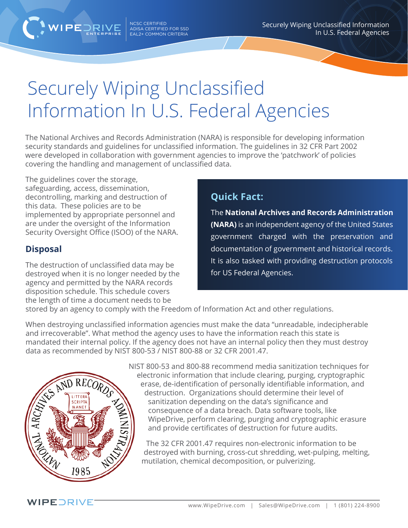NCSC CERTIFIED ADISA CERTIFIED FOR SSD  $ENTERPRISE$   $EAL2+$  COMMON CRITERIA Securely Wiping Unclassified Information In U.S. Federal Agencies

## Securely Wiping Unclassified Information In U.S. Federal Agencies

The National Archives and Records Administration (NARA) is responsible for developing information security standards and guidelines for unclassified information. The guidelines in 32 CFR Part 2002 were developed in collaboration with government agencies to improve the 'patchwork' of policies covering the handling and management of unclassified data.

The guidelines cover the storage, safeguarding, access, dissemination, decontrolling, marking and destruction of this data. These policies are to be implemented by appropriate personnel and are under the oversight of the Information Security Oversight Office (ISOO) of the NARA.

## **Disposal**

The destruction of unclassified data may be destroyed when it is no longer needed by the agency and permitted by the NARA records disposition schedule. This schedule covers the length of time a document needs to be

## **Quick Fact:**

The **National Archives and Records Administration (NARA)** is an independent agency of the United States government charged with the preservation and documentation of government and historical records. It is also tasked with providing destruction protocols for US Federal Agencies.

stored by an agency to comply with the Freedom of Information Act and other regulations.

When destroying unclassified information agencies must make the data "unreadable, indecipherable and irrecoverable". What method the agency uses to have the information reach this state is mandated their internal policy. If the agency does not have an internal policy then they must destroy data as recommended by NIST 800-53 / NIST 800-88 or 32 CFR 2001.47.



NIST 800-53 and 800-88 recommend media sanitization techniques for electronic information that include clearing, purging, cryptographic erase, de-identification of personally identifiable information, and destruction. Organizations should determine their level of sanitization depending on the data's significance and consequence of a data breach. Data software tools, like WipeDrive, perform clearing, purging and cryptographic erasure and provide certificates of destruction for future audits.

The 32 CFR 2001.47 requires non-electronic information to be destroyed with burning, cross-cut shredding, wet-pulping, melting, mutilation, chemical decomposition, or pulverizing.